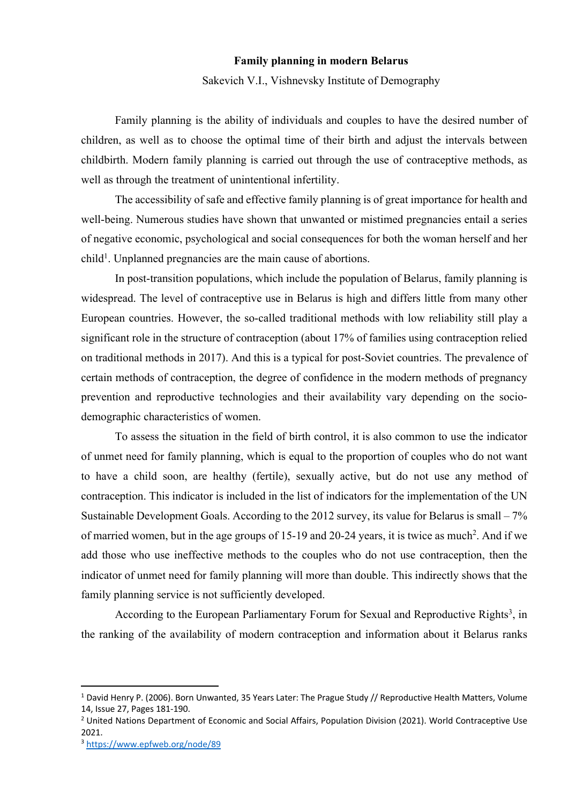## **Family planning in modern Belarus**

Sakevich V.I., Vishnevsky Institute of Demography

Family planning is the ability of individuals and couples to have the desired number of children, as well as to choose the optimal time of their birth and adjust the intervals between childbirth. Modern family planning is carried out through the use of contraceptive methods, as well as through the treatment of unintentional infertility.

The accessibility of safe and effective family planning is of great importance for health and well-being. Numerous studies have shown that unwanted or mistimed pregnancies entail a series of negative economic, psychological and social consequences for both the woman herself and her child<sup>1</sup>. Unplanned pregnancies are the main cause of abortions.

In post-transition populations, which include the population of Belarus, family planning is widespread. The level of contraceptive use in Belarus is high and differs little from many other European countries. However, the so-called traditional methods with low reliability still play a significant role in the structure of contraception (about 17% of families using contraception relied on traditional methods in 2017). And this is a typical for post-Soviet countries. The prevalence of certain methods of contraception, the degree of confidence in the modern methods of pregnancy prevention and reproductive technologies and their availability vary depending on the sociodemographic characteristics of women.

To assess the situation in the field of birth control, it is also common to use the indicator of unmet need for family planning, which is equal to the proportion of couples who do not want to have a child soon, are healthy (fertile), sexually active, but do not use any method of contraception. This indicator is included in the list of indicators for the implementation of the UN Sustainable Development Goals. According to the 2012 survey, its value for Belarus is small – 7% of married women, but in the age groups of 15-19 and 20-24 years, it is twice as much<sup>2</sup>. And if we add those who use ineffective methods to the couples who do not use contraception, then the indicator of unmet need for family planning will more than double. This indirectly shows that the family planning service is not sufficiently developed.

According to the European Parliamentary Forum for Sexual and Reproductive Rights<sup>3</sup>, in the ranking of the availability of modern contraception and information about it Belarus ranks

<sup>&</sup>lt;sup>1</sup> David Henry P. (2006). Born Unwanted, 35 Years Later: The Prague Study // Reproductive Health Matters, Volume 14, Issue 27, Pages 181-190.

<sup>&</sup>lt;sup>2</sup> United Nations Department of Economic and Social Affairs, Population Division (2021). World Contraceptive Use 2021.

<sup>3</sup> https://www.epfweb.org/node/89